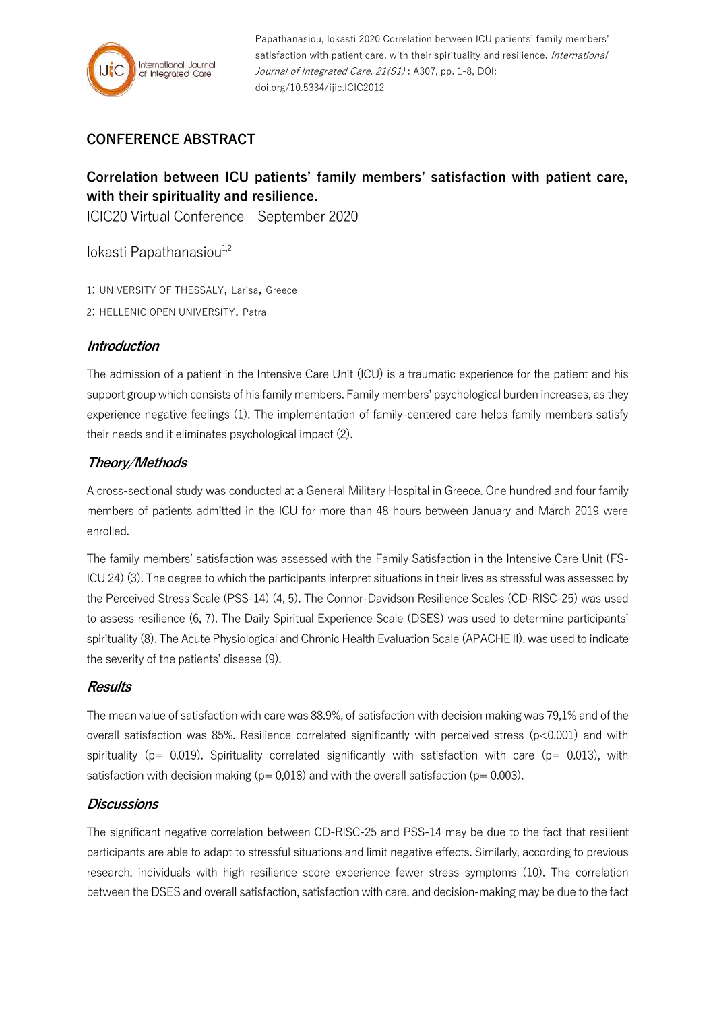

Papathanasiou, Iokasti 2020 Correlation between ICU patients' family members' satisfaction with patient care, with their spirituality and resilience. International Journal of Integrated Care, 21(S1): A307, pp. 1-8, DOI: doi.org/10.5334/ijic.ICIC2012

# **CONFERENCE ABSTRACT**

# **Correlation between ICU patients' family members' satisfaction with patient care, with their spirituality and resilience.**

ICIC20 Virtual Conference – September 2020

Iokasti Papathanasiou<sup>1,2</sup>

1: UNIVERSITY OF THESSALY, Larisa, Greece

2: HELLENIC OPEN UNIVERSITY, Patra

### **Introduction**

The admission of a patient in the Intensive Care Unit (ICU) is a traumatic experience for the patient and his support group which consists of his family members. Family members' psychological burden increases, as they experience negative feelings (1). The implementation of family-centered care helps family members satisfy their needs and it eliminates psychological impact (2).

# **Theory/Methods**

A cross-sectional study was conducted at a General Military Hospital in Greece. One hundred and four family members of patients admitted in the ICU for more than 48 hours between January and March 2019 were enrolled.

The family members' satisfaction was assessed with the Family Satisfaction in the Intensive Care Unit (FS-ICU 24) (3). The degree to which the participants interpret situations in their lives as stressful was assessed by the Perceived Stress Scale (PSS-14) (4, 5). The Connor-Davidson Resilience Scales (CD-RISC-25) was used to assess resilience (6, 7). The Daily Spiritual Experience Scale (DSES) was used to determine participants' spirituality (8). The Acute Physiological and Chronic Health Evaluation Scale (APACHE II), was used to indicate the severity of the patients' disease (9).

## **Results**

The mean value of satisfaction with care was 88.9%, of satisfaction with decision making was 79,1% and of the overall satisfaction was 85%. Resilience correlated significantly with perceived stress  $(p<0.001)$  and with spirituality ( $p= 0.019$ ). Spirituality correlated significantly with satisfaction with care ( $p= 0.013$ ), with satisfaction with decision making ( $p= 0.018$ ) and with the overall satisfaction ( $p= 0.003$ ).

#### **Discussions**

The significant negative correlation between CD-RISC-25 and PSS-14 may be due to the fact that resilient participants are able to adapt to stressful situations and limit negative effects. Similarly, according to previous research, individuals with high resilience score experience fewer stress symptoms (10). The correlation between the DSES and overall satisfaction, satisfaction with care, and decision-making may be due to the fact